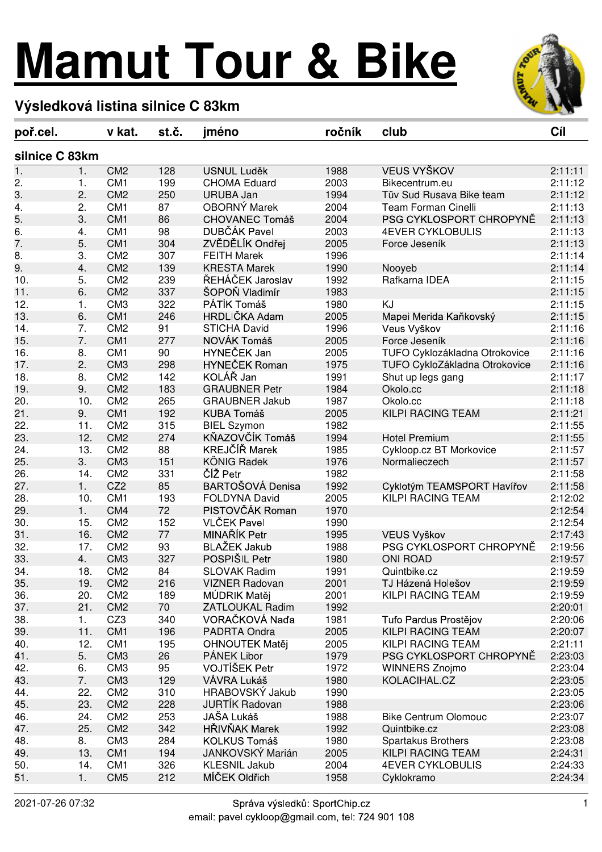## **Mamut Tour & Bike**



## **Výsledková listina silnice C 83km**

| poř.cel.       |     | v kat.          | st č. | jméno                  | ročník | club                          | Cíl     |
|----------------|-----|-----------------|-------|------------------------|--------|-------------------------------|---------|
| silnice C 83km |     |                 |       |                        |        |                               |         |
| 1.             | 1.  | CM <sub>2</sub> | 128   | <b>USNUL Luděk</b>     | 1988   | VEUS VYŠKOV                   | 2:11:11 |
| 2.             | 1.  | CM <sub>1</sub> | 199   | <b>CHOMA Eduard</b>    | 2003   | Bikecentrum.eu                | 2:11:12 |
| 3.             | 2.  | CM <sub>2</sub> | 250   | <b>URUBA Jan</b>       | 1994   | Tüv Sud Rusava Bike team      | 2:11:12 |
| 4.             | 2.  | CM <sub>1</sub> | 87    | OBORNÝ Marek           | 2004   | <b>Team Forman Cinelli</b>    | 2:11:13 |
| 5.             | 3.  | CM <sub>1</sub> | 86    | <b>CHOVANEC Tomáš</b>  | 2004   | PSG CYKLOSPORT CHROPYNĚ       | 2:11:13 |
| 6.             | 4.  | CM1             | 98    | DUBČÁK Pavel           | 2003   | <b>4EVER CYKLOBULIS</b>       | 2:11:13 |
| 7.             | 5.  | CM <sub>1</sub> | 304   | ZVĚDĚLÍK Ondřej        | 2005   | Force Jeseník                 | 2:11:13 |
| 8.             | 3.  | CM <sub>2</sub> | 307   | <b>FEITH Marek</b>     | 1996   |                               | 2:11:14 |
| 9.             | 4.  | CM <sub>2</sub> | 139   | <b>KRESTA Marek</b>    | 1990   | Nooyeb                        | 2:11:14 |
| 10.            | 5.  | CM <sub>2</sub> | 239   | ŘEHÁČEK Jaroslav       | 1992   | Rafkarna IDEA                 | 2:11:15 |
| 11.            | 6.  | CM <sub>2</sub> | 337   | ŠOPOŇ Vladimír         | 1983   |                               | 2:11:15 |
| 12.            | 1.  | CM <sub>3</sub> | 322   | PÁTÍK Tomáš            | 1980   | KJ                            | 2:11:15 |
| 13.            | 6.  | CM <sub>1</sub> | 246   | HRDLIČKA Adam          | 2005   | Mapei Merida Kaňkovský        | 2:11:15 |
| 14.            | 7.  | CM <sub>2</sub> | 91    | <b>STICHA David</b>    | 1996   | Veus Vyškov                   | 2:11:16 |
| 15.            | 7.  | CM1             | 277   | NOVÁK Tomáš            | 2005   | Force Jeseník                 | 2:11:16 |
| 16.            | 8.  | CM <sub>1</sub> | 90    | HYNEČEK Jan            | 2005   | TUFO Cyklozákladna Otrokovice | 2:11:16 |
| 17.            | 2.  | CM <sub>3</sub> | 298   | <b>HYNEČEK Roman</b>   | 1975   | TUFO CykloZákladna Otrokovice | 2:11:16 |
| 18.            | 8.  | CM <sub>2</sub> | 142   | KOLÁŘ Jan              | 1991   | Shut up legs gang             | 2:11:17 |
| 19.            | 9.  | CM <sub>2</sub> | 183   | <b>GRAUBNER Petr</b>   | 1984   | Okolo.cc                      | 2:11:18 |
| 20.            | 10. | CM <sub>2</sub> | 265   | <b>GRAUBNER Jakub</b>  | 1987   | Okolo.cc                      | 2:11:18 |
| 21.            | 9.  | CM1             | 192   | <b>KUBA Tomáš</b>      | 2005   | KILPI RACING TEAM             | 2:11:21 |
| 22.            | 11. | CM <sub>2</sub> | 315   | <b>BIEL Szymon</b>     | 1982   |                               | 2:11:55 |
| 23.            | 12. | CM <sub>2</sub> | 274   | KŇAZOVČÍK Tomáš        | 1994   | <b>Hotel Premium</b>          | 2:11:55 |
| 24.            | 13. | CM <sub>2</sub> | 88    | KREJČÍŘ Marek          | 1985   | Cykloop.cz BT Morkovice       | 2:11:57 |
| 25.            | 3.  | CM <sub>3</sub> | 151   | <b>KÖNIG Radek</b>     | 1976   | Normalieczech                 | 2:11:57 |
| 26.            | 14. | CM <sub>2</sub> | 331   | ČÍŽ Petr               | 1982   |                               | 2:11:58 |
| 27.            | 1.  | CZ <sub>2</sub> | 85    | BARTOŠOVÁ Denisa       | 1992   | Cyklotým TEAMSPORT Havířov    | 2:11:58 |
| 28.            | 10. | CM <sub>1</sub> | 193   | <b>FOLDYNA David</b>   | 2005   | KILPI RACING TEAM             | 2:12:02 |
| 29.            | 1.  | CM4             | 72    | PISTOVČÁK Roman        | 1970   |                               | 2:12:54 |
| 30.            | 15. | CM <sub>2</sub> | 152   | <b>VLČEK Pavel</b>     | 1990   |                               | 2:12:54 |
| 31.            | 16. | CM <sub>2</sub> | 77    | MINAŘÍK Petr           | 1995   | VEUS Vyškov                   | 2:17:43 |
| 32.            | 17. | CM <sub>2</sub> | 93    | <b>BLAŽEK Jakub</b>    | 1988   | PSG CYKLOSPORT CHROPYNĚ       | 2:19:56 |
| 33.            | 4.  | CM <sub>3</sub> | 327   | POSPIŠIL Petr          | 1980   | <b>ONI ROAD</b>               | 2:19:57 |
| 34.            | 18. | CM <sub>2</sub> | 84    | <b>SLOVAK Radim</b>    | 1991   | Quintbike.cz                  | 2:19:59 |
| 35.            | 19. | CM <sub>2</sub> | 216   | <b>VIZNER Radovan</b>  | 2001   | TJ Házená Holešov             | 2:19:59 |
| 36.            | 20. | CM <sub>2</sub> | 189   | MÚDRIK Matěj           | 2001   | <b>KILPI RACING TEAM</b>      | 2:19:59 |
| 37.            | 21. | CM <sub>2</sub> | 70    | <b>ZATLOUKAL Radim</b> | 1992   |                               | 2:20:01 |
| 38.            | 1.  | CZ3             | 340   | VORAČKOVÁ Naďa         | 1981   | Tufo Pardus Prostějov         | 2:20:06 |
| 39.            | 11. | CM1             | 196   | PADRTA Ondra           | 2005   | KILPI RACING TEAM             | 2:20:07 |
| 40.            | 12. | CM <sub>1</sub> | 195   | <b>OHNOUTEK Matěj</b>  | 2005   | <b>KILPI RACING TEAM</b>      | 2:21:11 |
| 41.            | 5.  | CM <sub>3</sub> | 26    | PÁNEK Libor            | 1979   | PSG CYKLOSPORT CHROPYNĚ       | 2:23:03 |
| 42.            | 6.  | CM <sub>3</sub> | 95    | VOJTÍŠEK Petr          | 1972   | <b>WINNERS Znojmo</b>         | 2:23:04 |
| 43.            | 7.  | CM <sub>3</sub> | 129   | VÁVRA Lukáš            | 1980   | KOLACIHAL.CZ                  | 2:23:05 |
| 44.            | 22. | CM <sub>2</sub> | 310   | HRABOVSKÝ Jakub        | 1990   |                               | 2:23:05 |
| 45.            | 23. | CM <sub>2</sub> | 228   | <b>JURTIK Radovan</b>  | 1988   |                               | 2:23:06 |
| 46.            | 24. | CM <sub>2</sub> | 253   | JAŠA Lukáš             | 1988   | <b>Bike Centrum Olomouc</b>   | 2:23:07 |
| 47.            | 25. | CM <sub>2</sub> | 342   | HŘIVŇAK Marek          | 1992   | Quintbike.cz                  | 2:23:08 |
| 48.            | 8.  | CM <sub>3</sub> | 284   | KOLKUS Tomáš           | 1980   | Spartakus Brothers            | 2:23:08 |
| 49.            | 13. | CM1             | 194   | JANKOVSKÝ Marián       | 2005   | KILPI RACING TEAM             | 2:24:31 |
| 50.            | 14. | CM <sub>1</sub> | 326   | <b>KLESNIL Jakub</b>   | 2004   | <b>4EVER CYKLOBULIS</b>       | 2:24:33 |
| 51.            | 1.  | CM <sub>5</sub> | 212   | MÍČEK Oldřich          | 1958   | Cyklokramo                    | 2:24:34 |
|                |     |                 |       |                        |        |                               |         |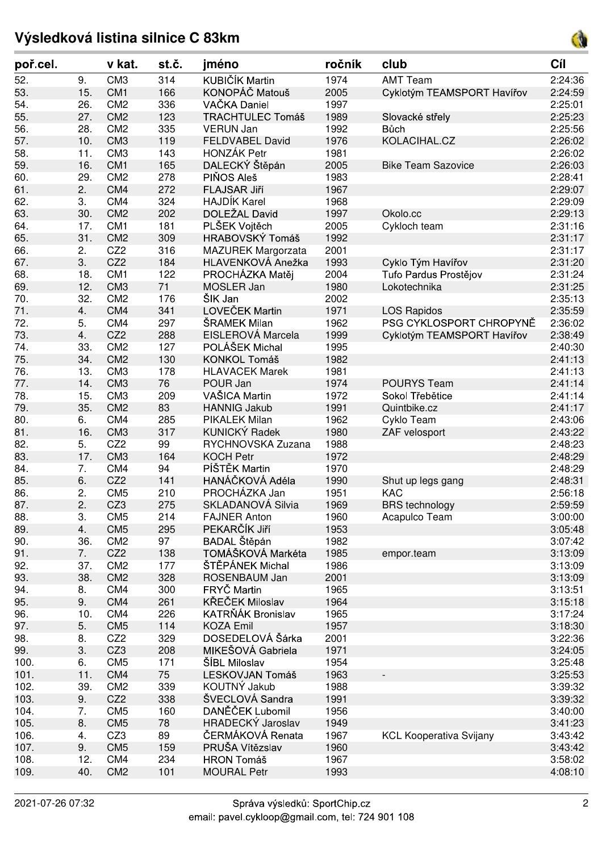## **Výsledková listina silnice C 83km**

poř.cel.

| 53.  | 15. | CM <sub>1</sub> | 166 | KONOPÁČ Matouš            | 2005 | Cyklotým TEAMSPORT Havířov     | 2:24:59 |
|------|-----|-----------------|-----|---------------------------|------|--------------------------------|---------|
| 54.  | 26. | CM <sub>2</sub> | 336 | VAČKA Daniel              | 1997 |                                | 2:25:01 |
| 55.  | 27. | CM <sub>2</sub> | 123 | <b>TRACHTULEC Tomáš</b>   | 1989 | Slovacké střely                | 2:25:23 |
| 56.  | 28. | CM <sub>2</sub> | 335 | <b>VERUN Jan</b>          | 1992 | Bůch                           | 2:25:56 |
| 57.  | 10. | CM <sub>3</sub> | 119 | <b>FELDVABEL David</b>    | 1976 | KOLACIHAL.CZ                   | 2:26:02 |
| 58.  | 11. | CM <sub>3</sub> | 143 | <b>HONZÁK Petr</b>        | 1981 |                                | 2:26:02 |
| 59.  | 16. | CM <sub>1</sub> | 165 | DALECKÝ Štěpán            | 2005 | <b>Bike Team Sazovice</b>      | 2:26:03 |
| 60.  | 29. | CM <sub>2</sub> | 278 | PIŇOS Aleš                | 1983 |                                | 2:28:41 |
| 61.  | 2.  | CM4             | 272 | FLAJSAR Jiří              | 1967 |                                | 2:29:07 |
| 62.  | 3.  | CM4             | 324 | <b>HAJDÍK Karel</b>       | 1968 |                                | 2:29:09 |
| 63.  | 30. | CM <sub>2</sub> | 202 | DOLEŽAL David             | 1997 | Okolo.cc                       | 2:29:13 |
| 64.  | 17. | CM <sub>1</sub> | 181 | PLŠEK Vojtěch             | 2005 | Cykloch team                   | 2:31:16 |
| 65.  | 31. | CM <sub>2</sub> | 309 | HRABOVSKÝ Tomáš           | 1992 |                                | 2:31:17 |
| 66.  | 2.  | CZ <sub>2</sub> | 316 | <b>MAZUREK Margorzata</b> | 2001 |                                | 2:31:17 |
| 67.  | 3.  | CZ <sub>2</sub> | 184 | HLAVENKOVÁ Anežka         | 1993 | Cyklo Tým Havířov              | 2:31:20 |
|      |     | CM <sub>1</sub> |     |                           | 2004 |                                |         |
| 68.  | 18. |                 | 122 | PROCHÁZKA Matěj           |      | Tufo Pardus Prostějov          | 2:31:24 |
| 69.  | 12. | CM <sub>3</sub> | 71  | MOSLER Jan                | 1980 | Lokotechnika                   | 2:31:25 |
| 70.  | 32. | CM <sub>2</sub> | 176 | ŠIK Jan                   | 2002 |                                | 2:35:13 |
| 71.  | 4.  | CM4             | 341 | LOVEČEK Martin            | 1971 | <b>LOS Rapidos</b>             | 2:35:59 |
| 72.  | 5.  | CM4             | 297 | ŠRAMEK Milan              | 1962 | PSG CYKLOSPORT CHROPYNĚ        | 2:36:02 |
| 73.  | 4.  | CZ <sub>2</sub> | 288 | EISLEROVÁ Marcela         | 1999 | Cyklotým TEAMSPORT Havířov     | 2:38:49 |
| 74.  | 33. | CM <sub>2</sub> | 127 | POLÁŠEK Michal            | 1995 |                                | 2:40:30 |
| 75.  | 34. | CM <sub>2</sub> | 130 | KONKOL Tomáš              | 1982 |                                | 2:41:13 |
| 76.  | 13. | CM <sub>3</sub> | 178 | <b>HLAVACEK Marek</b>     | 1981 |                                | 2:41:13 |
| 77.  | 14. | CM <sub>3</sub> | 76  | POUR Jan                  | 1974 | <b>POURYS Team</b>             | 2:41:14 |
| 78.  | 15. | CM <sub>3</sub> | 209 | VAŠICA Martin             | 1972 | Sokol Třebětice                | 2:41:14 |
| 79.  | 35. | CM <sub>2</sub> | 83  | <b>HANNIG Jakub</b>       | 1991 | Quintbike.cz                   | 2:41:17 |
| 80.  | 6.  | CM4             | 285 | <b>PIKALEK Milan</b>      | 1962 | Cyklo Team                     | 2:43:06 |
| 81.  | 16. | CM <sub>3</sub> | 317 | <b>KUNICKÝ Radek</b>      | 1980 | ZAF velosport                  | 2:43:22 |
| 82.  | 5.  | CZ <sub>2</sub> | 99  | RYCHNOVSKA Zuzana         | 1988 |                                | 2:48:23 |
| 83.  | 17. | CM <sub>3</sub> | 164 | <b>KOCH Petr</b>          | 1972 |                                | 2:48:29 |
| 84.  | 7.  | CM4             | 94  | PÍŠTĚK Martin             | 1970 |                                | 2:48:29 |
| 85.  | 6.  | CZ <sub>2</sub> | 141 | HANÁČKOVÁ Adéla           | 1990 | Shut up legs gang              | 2:48:31 |
| 86.  | 2.  | CM <sub>5</sub> | 210 | PROCHÁZKA Jan             | 1951 | <b>KAC</b>                     | 2:56:18 |
| 87.  | 2.  | CZ3             | 275 | SKLADANOVÁ Silvia         | 1969 | <b>BRS</b> technology          | 2:59:59 |
| 88.  | 3.  | CM <sub>5</sub> | 214 | <b>FAJNER Anton</b>       | 1960 |                                | 3:00:00 |
|      |     |                 |     | PEKARČÍK Jiří             |      | Acapulco Team                  |         |
| 89.  | 4.  | CM <sub>5</sub> | 295 |                           | 1953 |                                | 3:05:48 |
| 90.  | 36. | CM <sub>2</sub> | 97  | BADAL Štěpán              | 1982 |                                | 3:07:42 |
| 91.  | 7.  | CZ <sub>2</sub> | 138 | TOMÁŠKOVÁ Markéta         | 1985 | empor.team                     | 3:13:09 |
| 92.  | 37. | CM <sub>2</sub> | 177 | ŠTĚPÁNEK Michal           | 1986 |                                | 3:13:09 |
| 93.  | 38. | CM <sub>2</sub> | 328 | ROSENBAUM Jan             | 2001 |                                | 3:13:09 |
| 94.  | 8.  | CM4             | 300 | FRYČ Martin               | 1965 |                                | 3:13:51 |
| 95.  | 9.  | CM4             | 261 | KŘEČEK Miloslav           | 1964 |                                | 3:15:18 |
| 96.  | 10. | CM4             | 226 | KATRŇÁK Bronislav         | 1965 |                                | 3:17:24 |
| 97.  | 5.  | CM <sub>5</sub> | 114 | <b>KOZA Emil</b>          | 1957 |                                | 3:18:30 |
| 98.  | 8.  | CZ <sub>2</sub> | 329 | DOSEDELOVÁ Šárka          | 2001 |                                | 3:22:36 |
| 99.  | 3.  | CZ3             | 208 | MIKEŠOVÁ Gabriela         | 1971 |                                | 3:24:05 |
| 100. | 6.  | CM <sub>5</sub> | 171 | ŠÍBL Miloslav             | 1954 |                                | 3:25:48 |
| 101. | 11. | CM4             | 75  | LESKOVJAN Tomáš           | 1963 |                                | 3:25:53 |
| 102. | 39. | CM <sub>2</sub> | 339 | KOUTNÝ Jakub              | 1988 |                                | 3:39:32 |
| 103. | 9.  | CZ <sub>2</sub> | 338 | ŠVECLOVÁ Sandra           | 1991 |                                | 3:39:32 |
| 104. | 7.  | CM <sub>5</sub> | 160 | DANĚČEK Lubomil           | 1956 |                                | 3:40:00 |
| 105. | 8.  | CM <sub>5</sub> | 78  | HRADECKÝ Jaroslav         | 1949 |                                | 3:41:23 |
| 106. | 4.  | CZ3             | 89  | ČERMÁKOVÁ Renata          | 1967 | <b>KCL Kooperativa Svijany</b> | 3:43:42 |
| 107. | 9.  | CM <sub>5</sub> | 159 | PRUŠA Vítězslav           | 1960 |                                | 3:43:42 |
| 108. | 12. | CM4             | 234 | <b>HRON Tomáš</b>         | 1967 |                                | 3:58:02 |
|      |     |                 |     |                           |      |                                |         |
| 109. | 40. | CM <sub>2</sub> | 101 | <b>MOURAL Petr</b>        | 1993 |                                | 4:08:10 |

52. 9. CM3 314 KUBIČÍK Martin 1974 AMT Team 2:24:36

**v kat. jméno club Cíl**